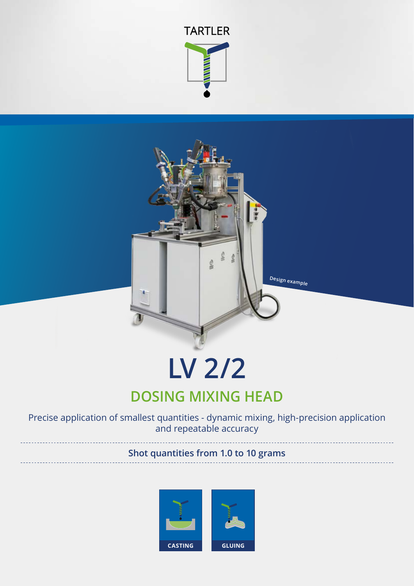



# **LV 2/2**

# **DOSING MIXING HEAD**

Precise application of smallest quantities - dynamic mixing, high-precision application and repeatable accuracy

## **Shot quantities from 1.0 to 10 grams**